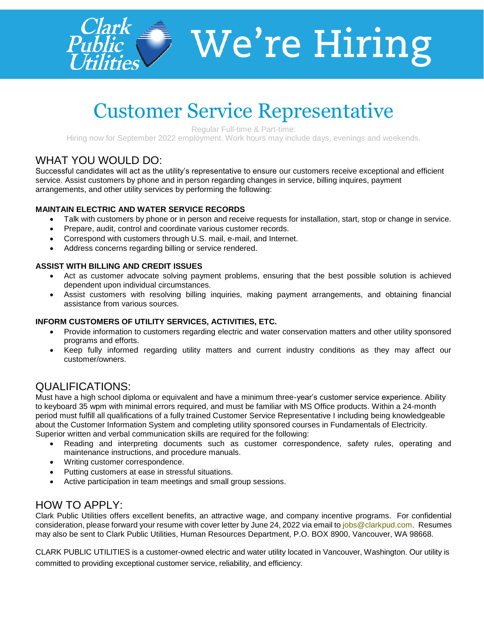

# $\blacktriangleright$  We're Hiring

# Customer Service Representative

Regular Full-time & Part-time:

Hiring now for September 2022 employment. Work hours may include days, evenings and weekends.

# WHAT YOU WOULD DO:

Successful candidates will act as the utility's representative to ensure our customers receive exceptional and efficient service. Assist customers by phone and in person regarding changes in service, billing inquires, payment arrangements, and other utility services by performing the following:

#### **MAINTAIN ELECTRIC AND WATER SERVICE RECORDS**

- Talk with customers by phone or in person and receive requests for installation, start, stop or change in service.
- Prepare, audit, control and coordinate various customer records.
- Correspond with customers through U.S. mail, e-mail, and Internet.
- Address concerns regarding billing or service rendered.

#### **ASSIST WITH BILLING AND CREDIT ISSUES**

- Act as customer advocate solving payment problems, ensuring that the best possible solution is achieved dependent upon individual circumstances.
- Assist customers with resolving billing inquiries, making payment arrangements, and obtaining financial assistance from various sources.

#### **INFORM CUSTOMERS OF UTILITY SERVICES, ACTIVITIES, ETC.**

- Provide information to customers regarding electric and water conservation matters and other utility sponsored programs and efforts.
- Keep fully informed regarding utility matters and current industry conditions as they may affect our customer/owners.

## QUALIFICATIONS:

Must have a high school diploma or equivalent and have a minimum three-year's customer service experience. Ability to keyboard 35 wpm with minimal errors required, and must be familiar with MS Office products. Within a 24-month period must fulfill all qualifications of a fully trained Customer Service Representative I including being knowledgeable about the Customer Information System and completing utility sponsored courses in Fundamentals of Electricity. Superior written and verbal communication skills are required for the following:

- Reading and interpreting documents such as customer correspondence, safety rules, operating and maintenance instructions, and procedure manuals.
- Writing customer correspondence.
- Putting customers at ease in stressful situations.
- Active participation in team meetings and small group sessions.

## HOW TO APPLY:

Clark Public Utilities offers excellent benefits, an attractive wage, and company incentive programs. For confidential consideration, please forward your resume with cover letter by June 24, 2022 via email t[o jobs@clarkpud.com.](mailto:jobs@clarkpud.com) Resumes may also be sent to Clark Public Utilities, Human Resources Department, P.O. BOX 8900, Vancouver, WA 98668.

CLARK PUBLIC UTILITIES is a customer-owned electric and water utility located in Vancouver, Washington. Our utility is committed to providing exceptional customer service, reliability, and efficiency.